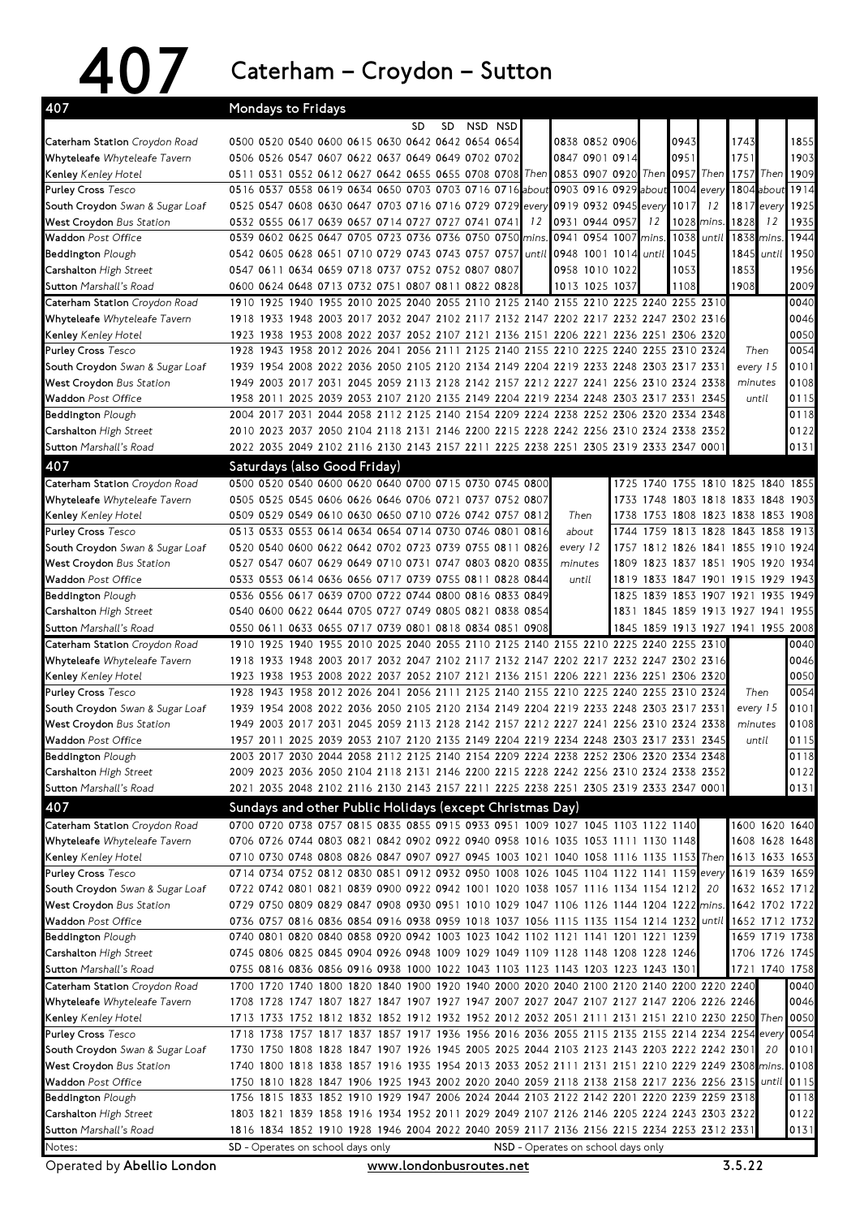## 407 Caterham–Croydon–Sutton

| 407                                     | Mondays to Fridays                                                                                                             |  |  |    |     |         |       |                                    |                      |       |           |                                    |                                    |       |                                                            |
|-----------------------------------------|--------------------------------------------------------------------------------------------------------------------------------|--|--|----|-----|---------|-------|------------------------------------|----------------------|-------|-----------|------------------------------------|------------------------------------|-------|------------------------------------------------------------|
|                                         |                                                                                                                                |  |  | SD | SD. | NSD NSD |       |                                    |                      |       |           |                                    |                                    |       |                                                            |
| Caterham Station Croydon Road           | 0500 0520 0540 0600 0615 0630 0642 0642 0654 0654                                                                              |  |  |    |     |         |       |                                    | 0838 0852 0906       |       | 0943      |                                    | 1743                               |       | 1855                                                       |
| Whyteleafe Whyteleafe Tavern            | 0506 0526 0547 0607 0622 0637 0649 0649 0702 0702                                                                              |  |  |    |     |         |       |                                    | 0847 0901 0914       |       | 0951      |                                    | 1751                               |       | 1903                                                       |
| Kenley Kenley Hotel                     | 0511 0531 0552 0612 0627 0642 0655 0655 0708 0708 Then                                                                         |  |  |    |     |         |       |                                    | 0853 0907 0920       |       | Then 0957 |                                    | Then 1757                          | Then  | 1909                                                       |
| <b>Purley Cross Tesco</b>               | 0516 0537 0558 0619 0634 0650 0703 0703 0716 0716 about                                                                        |  |  |    |     |         |       |                                    | 0903 0916 0929 about |       | 1004      | every                              | 1804                               | about | 1914                                                       |
| South Croydon Swan & Sugar Loaf         | 0525 0547 0608 0630 0647 0703 0716 0716 0729 0729 every                                                                        |  |  |    |     |         |       |                                    | 0919 0932 0945       | every | 1017      | 12                                 | 1817                               | every | 1925                                                       |
| West Croydon Bus Station                | 0532 0555 0617 0639 0657 0714 0727 0727 0741 0741                                                                              |  |  |    |     |         | 12    |                                    | 0931 0944 0957       | 12    | 1028      | mins.                              | 1828                               | 12    | 1935                                                       |
| <b>Waddon</b> Post Office               | 0539 0602 0625 0647 0705 0723 0736 0736 0750 0750 mins.                                                                        |  |  |    |     |         |       |                                    | 0941 0954 1007       | mins. | 1038      | until                              | 1838                               | mins. | 1944                                                       |
| <b>Beddington Plough</b>                | 0542 0605 0628 0651 0710 0729 0743 0743 0757 0757                                                                              |  |  |    |     |         | until |                                    | 0948 1001 1014       | until | 1045      |                                    | 1845                               | until | 1950                                                       |
| Carshalton High Street                  | 0547 0611 0634 0659 0718 0737 0752 0752 0807 0807                                                                              |  |  |    |     |         |       |                                    | 0958 1010 1022       |       | 1053      |                                    | 1853                               |       | 1956                                                       |
| Sutton Marshall's Road                  | 0600 0624 0648 0713 0732 0751 0807 0811 0822 0828                                                                              |  |  |    |     |         |       |                                    | 1013 1025 1037       |       | 1108      |                                    | 1908                               |       | 2009                                                       |
| Caterham Station Croydon Road           | 1910 1925 1940 1955 2010 2025 2040 2055 2110 2125 2140 2155 2210 2225 2240 2255 2310                                           |  |  |    |     |         |       |                                    |                      |       |           |                                    |                                    |       | 0040                                                       |
| Whyteleafe Whyteleafe Tavern            | 1918 1933 1948 2003 2017 2032 2047 2102 2117 2132 2147 2202 2217 2232 2247 2302 2316                                           |  |  |    |     |         |       |                                    |                      |       |           |                                    |                                    |       | 0046                                                       |
| Kenley Kenley Hotel                     | 1923 1938 1953 2008 2022 2037 2052 2107 2121 2136 2151 2206 2221 2236 2251 2306 2320                                           |  |  |    |     |         |       |                                    |                      |       |           |                                    |                                    |       | 0050                                                       |
| <b>Purley Cross Tesco</b>               | 1928 1943 1958 2012 2026 2041 2056 2111 2125 2140 2155 2210 2225 2240 2255 2310 2324                                           |  |  |    |     |         |       |                                    |                      |       |           |                                    | Then                               |       | 0054                                                       |
| South Croydon Swan & Sugar Loaf         | 1939 1954 2008 2022 2036 2050 2105 2120 2134 2149 2204 2219 2233 2248 2303 2317 2331                                           |  |  |    |     |         |       |                                    |                      |       |           |                                    | every 15                           |       | 0101                                                       |
| West Croydon Bus Station                | 1949 2003 2017 2031 2045 2059 2113 2128 2142 2157 2212 2227 2241 2256 2310 2324 2338                                           |  |  |    |     |         |       |                                    |                      |       |           |                                    | minutes                            |       | 0108                                                       |
| <b>Waddon</b> Post Office               | 1958 2011 2025 2039 2053 2107 2120 2135 2149 2204 2219 2234 2248 2303 2317 2331 2345                                           |  |  |    |     |         |       |                                    |                      |       |           |                                    | until                              |       | 0115                                                       |
| <b>Beddington Plough</b>                | 2004 2017 2031 2044 2058 2112 2125 2140 2154 2209 2224 2238 2252 2306 2320 2334 2348                                           |  |  |    |     |         |       |                                    |                      |       |           |                                    |                                    |       | 0118                                                       |
| Carshalton High Street                  | 2010 2023 2037 2050 2104 2118 2131 2146 2200 2215 2228 2242 2256 2310 2324 2338 2352                                           |  |  |    |     |         |       |                                    |                      |       |           |                                    |                                    |       | 0122                                                       |
| Sutton Marshall's Road                  | 2022 2035 2049 2102 2116 2130 2143 2157 2211 2225 2238 2251 2305 2319 2333 2347 0001                                           |  |  |    |     |         |       |                                    |                      |       |           |                                    |                                    |       | 0131                                                       |
| 407                                     | Saturdays (also Good Friday)                                                                                                   |  |  |    |     |         |       |                                    |                      |       |           |                                    |                                    |       |                                                            |
| Caterham Station Croydon Road           | 0500 0520 0540 0600 0620 0640 0700 0715 0730 0745 0800                                                                         |  |  |    |     |         |       |                                    |                      |       |           |                                    | 1725 1740 1755 1810 1825 1840 1855 |       |                                                            |
| Whyteleafe Whyteleafe Tavern            | 0505 0525 0545 0606 0626 0646 0706 0721 0737 0752 0807                                                                         |  |  |    |     |         |       |                                    |                      |       |           |                                    | 1733 1748 1803 1818 1833 1848 1903 |       |                                                            |
| <b>Kenley</b> Kenley Hotel              | 0509 0529 0549 0610 0630 0650 0710 0726 0742 0757 0812                                                                         |  |  |    |     |         |       |                                    | Then                 |       |           |                                    | 1738 1753 1808 1823 1838 1853 1908 |       |                                                            |
| <b>Purley Cross Tesco</b>               | 0513 0533 0553 0614 0634 0654 0714 0730 0746 0801 0816                                                                         |  |  |    |     |         |       |                                    | about                |       |           |                                    | 1744 1759 1813 1828 1843 1858 1913 |       |                                                            |
| South Croydon Swan & Sugar Loaf         | 0520 0540 0600 0622 0642 0702 0723 0739 0755 0811 0826                                                                         |  |  |    |     |         |       | every 12                           |                      |       |           |                                    | 1757 1812 1826 1841 1855 1910 1924 |       |                                                            |
| West Croydon Bus Station                | 0527 0547 0607 0629 0649 0710 0731 0747 0803 0820 0835                                                                         |  |  |    |     |         |       | minutes                            |                      |       |           |                                    | 1809 1823 1837 1851 1905 1920 1934 |       |                                                            |
| <b>Waddon</b> Post Office               | 0533 0553 0614 0636 0656 0717 0739 0755 0811 0828 0844                                                                         |  |  |    |     |         |       |                                    | until                |       |           |                                    | 1819 1833 1847 1901 1915 1929 1943 |       |                                                            |
| <b>Beddington Plough</b>                | 0536 0556 0617 0639 0700 0722 0744 0800 0816 0833 0849                                                                         |  |  |    |     |         |       |                                    |                      |       |           |                                    | 1825 1839 1853 1907 1921 1935 1949 |       |                                                            |
| Carshalton High Street                  | 0540 0600 0622 0644 0705 0727 0749 0805 0821 0838 0854                                                                         |  |  |    |     |         |       |                                    |                      |       |           |                                    | 1831 1845 1859 1913 1927 1941 1955 |       |                                                            |
|                                         |                                                                                                                                |  |  |    |     |         |       |                                    |                      |       |           |                                    |                                    |       |                                                            |
| <b>Sutton</b> Marshall's Road           | 0550 0611 0633 0655 0717 0739 0801 0818 0834 0851 0908                                                                         |  |  |    |     |         |       |                                    |                      |       |           | 1845 1859 1913 1927 1941 1955 2008 |                                    |       |                                                            |
| Caterham Station Croydon Road           | 1910 1925 1940 1955 2010 2025 2040 2055 2110 2125 2140 2155 2210 2225 2240 2255 2310                                           |  |  |    |     |         |       |                                    |                      |       |           |                                    |                                    |       | 0040                                                       |
| Whyteleafe Whyteleafe Tavern            | 1918 1933 1948 2003 2017 2032 2047 2102 2117 2132 2147 2202 2217 2232 2247 2302 2316                                           |  |  |    |     |         |       |                                    |                      |       |           |                                    |                                    |       |                                                            |
| Kenley Kenley Hotel                     | 1923 1938 1953 2008 2022 2037 2052 2107 2121 2136 2151 2206 2221 2236 2251 2306 2320                                           |  |  |    |     |         |       |                                    |                      |       |           |                                    |                                    |       | 0046<br>0050                                               |
| <b>Purley Cross Tesco</b>               | 1928 1943 1958 2012 2026 2041 2056 2111 2125 2140 2155 2210 2225 2240 2255 2310 2324                                           |  |  |    |     |         |       |                                    |                      |       |           |                                    | Then                               |       |                                                            |
| South Croydon Swan & Sugar Loaf         | 1939 1954 2008 2022 2036 2050 2105 2120 2134 2149 2204 2219 2233 2248 2303 2317 2331                                           |  |  |    |     |         |       |                                    |                      |       |           |                                    | every 15                           |       | 0101                                                       |
| West Croydon Bus Station                | 1949 2003 2017 2031 2045 2059 2113 2128 2142 2157 2212 2227 2241 2256 2310 2324 2338                                           |  |  |    |     |         |       |                                    |                      |       |           |                                    | minutes                            |       |                                                            |
| Waddon Post Office                      | 1957 2011 2025 2039 2053 2107 2120 2135 2149 2204 2219 2234 2248 2303 2317 2331 2345                                           |  |  |    |     |         |       |                                    |                      |       |           |                                    | until                              |       | 0054<br>0108<br>0115                                       |
| <b>Beddington</b> Plough                | 2003 2017 2030 2044 2058 2112 2125 2140 2154 2209 2224 2238 2252 2306 2320 2334 2348                                           |  |  |    |     |         |       |                                    |                      |       |           |                                    |                                    |       | 0118                                                       |
| Carshalton High Street                  | 2009 2023 2036 2050 2104 2118 2131 2146 2200 2215 2228 2242 2256 2310 2324 2338 2352                                           |  |  |    |     |         |       |                                    |                      |       |           |                                    |                                    |       | 0122                                                       |
| <b>Sutton</b> Marshall's Road           | 2021 2035 2048 2102 2116 2130 2143 2157 2211 2225 2238 2251 2305 2319 2333 2347 0001                                           |  |  |    |     |         |       |                                    |                      |       |           |                                    |                                    |       | 0131                                                       |
| 407                                     | Sundays and other Public Holidays (except Christmas Day)                                                                       |  |  |    |     |         |       |                                    |                      |       |           |                                    |                                    |       |                                                            |
| Caterham Station Croydon Road           | 0700 0720 0738 0757 0815 0835 0855 0915 0933 0951 1009 1027 1045 1103 1122 1140                                                |  |  |    |     |         |       |                                    |                      |       |           |                                    |                                    |       | 1600 1620 1640                                             |
| Whyteleafe Whyteleafe Tavern            | 0706 0726 0744 0803 0821 0842 0902 0922 0940 0958 1016 1035 1053 1111 1130 1148                                                |  |  |    |     |         |       |                                    |                      |       |           |                                    |                                    |       | 1608 1628 1648                                             |
| <b>Kenley</b> Kenley Hotel              | 0710 0730 0748 0808 0826 0847 0907 0927 0945 1003 1021 1040 1058 1116 1135 1153 Then                                           |  |  |    |     |         |       |                                    |                      |       |           |                                    |                                    |       | 1613 1633 1653                                             |
| <b>Purley Cross Tesco</b>               | 0714 0734 0752 0812 0830 0851 0912 0932 0950 1008 1026 1045 1104 1122 1141 1159 every                                          |  |  |    |     |         |       |                                    |                      |       |           |                                    |                                    |       | 1619 1639 1659                                             |
| South Croydon Swan & Sugar Loaf         | 0722 0742 0801 0821 0839 0900 0922 0942 1001 1020 1038 1057 1116 1134 1154 1212                                                |  |  |    |     |         |       |                                    |                      |       |           | 20                                 |                                    |       |                                                            |
| West Croydon Bus Station                | 0729 0750 0809 0829 0847 0908 0930 0951 1010 1029 1047 1106 1126 1144 1204 1222 mins.                                          |  |  |    |     |         |       |                                    |                      |       |           |                                    |                                    |       | 1632 1652 1712<br>1642 1702 1722                           |
| <b>Waddon</b> Post Office               | 0736 0757 0816 0836 0854 0916 0938 0959 1018 1037 1056 1115 1135 1154 1214 1232 until                                          |  |  |    |     |         |       |                                    |                      |       |           |                                    |                                    |       |                                                            |
| <b>Beddington</b> Plough                | 0740 0801 0820 0840 0858 0920 0942 1003 1023 1042 1102 1121 1141 1201 1221 1239                                                |  |  |    |     |         |       |                                    |                      |       |           |                                    |                                    |       | 1652 1712 1732<br>1659 1719 1738                           |
| Carshalton High Street                  | 0745 0806 0825 0845 0904 0926 0948 1009 1029 1049 1109 1128 1148 1208 1228 1246                                                |  |  |    |     |         |       |                                    |                      |       |           |                                    |                                    |       | 1706 1726 1745                                             |
| <b>Sutton</b> Marshall's Road           | 0755 0816 0836 0856 0916 0938 1000 1022 1043 1103 1123 1143 1203 1223 1243 1301                                                |  |  |    |     |         |       |                                    |                      |       |           |                                    |                                    |       | 1721 1740 1758                                             |
| Caterham Station Croydon Road           | 1700 1720 1740 1800 1820 1840 1900 1920 1940 2000 2020 2040 2100 2120 2140 2200 2220 2240                                      |  |  |    |     |         |       |                                    |                      |       |           |                                    |                                    |       | 0040                                                       |
| Whyteleafe Whyteleafe Tavern            | 1708 1728 1747 1807 1827 1847 1907 1927 1947 2007 2027 2047 2107 2127 2147 2206 2226 2246                                      |  |  |    |     |         |       |                                    |                      |       |           |                                    |                                    |       | 0046                                                       |
| <b>Kenley</b> Kenley Hotel              | 1713 1733 1752 1812 1832 1852 1912 1932 1952 2012 2032 2051 2111 2131 2151 2210 2230 2250                                      |  |  |    |     |         |       |                                    |                      |       |           |                                    |                                    |       | Then 0050                                                  |
| <b>Purley Cross Tesco</b>               | 1718 1738 1757 1817 1837 1857 1917 1936 1956 2016 2036 2055 2115 2135 2155 2214 2234 2254 every                                |  |  |    |     |         |       |                                    |                      |       |           |                                    |                                    |       |                                                            |
| South Croydon Swan & Sugar Loaf         | 1730 1750 1808 1828 1847 1907 1926 1945 2005 2025 2044 2103 2123 2143 2203 2222 2242 2301                                      |  |  |    |     |         |       |                                    |                      |       |           |                                    |                                    | 20    |                                                            |
| West Croydon Bus Station                | 1740 1800 1818 1838 1857 1916 1935 1954 2013 2033 2052 2111 2131 2151 2210 2229 2249 2308 mins.                                |  |  |    |     |         |       |                                    |                      |       |           |                                    |                                    |       |                                                            |
| Waddon Post Office                      | 1750 1810 1828 1847 1906 1925 1943 2002 2020 2040 2059 2118 2138 2158 2217 2236 2256 2315                                      |  |  |    |     |         |       |                                    |                      |       |           |                                    |                                    |       |                                                            |
| <b>Beddington</b> Plough                | 1756 1815 1833 1852 1910 1929 1947 2006 2024 2044 2103 2122 2142 2201 2220 2239 2259 2318                                      |  |  |    |     |         |       |                                    |                      |       |           |                                    |                                    |       |                                                            |
| Carshalton High Street                  | 1803 1821 1839 1858 1916 1934 1952 2011 2029 2049 2107 2126 2146 2205 2224 2243 2303 2322                                      |  |  |    |     |         |       |                                    |                      |       |           |                                    |                                    |       |                                                            |
| <b>Sutton</b> Marshall's Road<br>Notes: | 1816 1834 1852 1910 1928 1946 2004 2022 2040 2059 2117 2136 2156 2215 2234 2253 2312 2331<br>SD - Operates on school days only |  |  |    |     |         |       | NSD - Operates on school days only |                      |       |           |                                    |                                    |       | 0054<br>0101<br>0108<br>until 0115<br>0118<br>0122<br>0131 |

Operated by Abellio London **by Abellio** London www.londonbusroutes.net 3.5.22